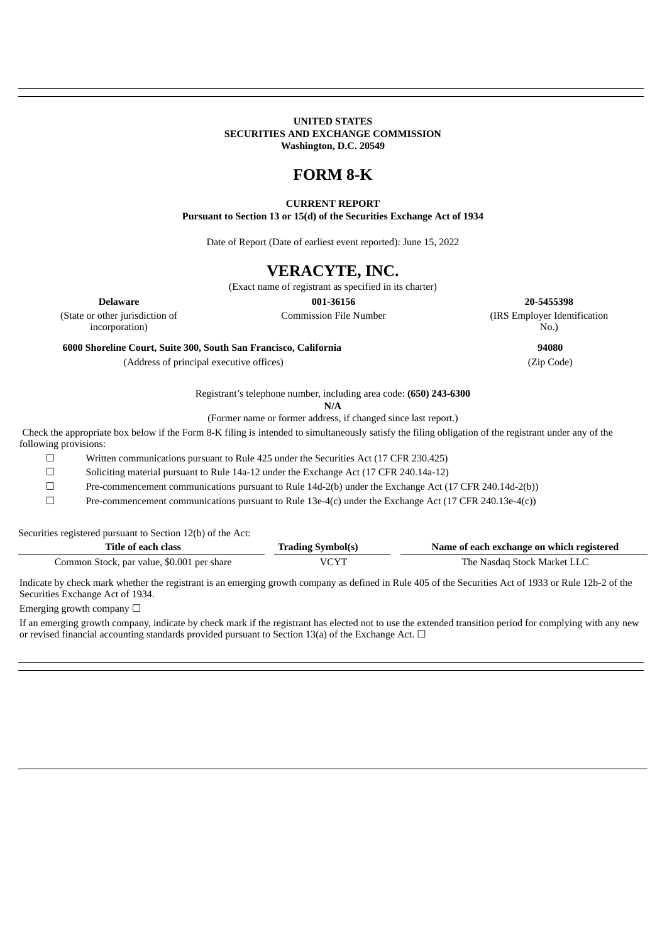### **UNITED STATES SECURITIES AND EXCHANGE COMMISSION Washington, D.C. 20549**

# **FORM 8-K**

### **CURRENT REPORT**

**Pursuant to Section 13 or 15(d) of the Securities Exchange Act of 1934**

Date of Report (Date of earliest event reported): June 15, 2022

## **VERACYTE, INC.**

(Exact name of registrant as specified in its charter)

(State or other jurisdiction of incorporation)

**6000 Shoreline Court, Suite 300, South San Francisco, California 94080**

(Address of principal executive offices) (Zip Code)

**Delaware 001-36156 20-5455398** Commission File Number (IRS Employer Identification No.)

Registrant's telephone number, including area code: **(650) 243-6300**

**N/A**

(Former name or former address, if changed since last report.)

Check the appropriate box below if the Form 8-K filing is intended to simultaneously satisfy the filing obligation of the registrant under any of the following provisions:

☐ Written communications pursuant to Rule 425 under the Securities Act (17 CFR 230.425)

☐ Soliciting material pursuant to Rule 14a-12 under the Exchange Act (17 CFR 240.14a-12)

☐ Pre-commencement communications pursuant to Rule 14d-2(b) under the Exchange Act (17 CFR 240.14d-2(b))

☐ Pre-commencement communications pursuant to Rule 13e-4(c) under the Exchange Act (17 CFR 240.13e-4(c))

Securities registered pursuant to Section 12(b) of the Act:

| Title of each class                        | <b>Trading Symbol(s)</b> | Name of each exchange on which registered |
|--------------------------------------------|--------------------------|-------------------------------------------|
| Common Stock, par value, \$0.001 per share | VCYT                     | The Nasdaq Stock Market LLC               |

Indicate by check mark whether the registrant is an emerging growth company as defined in Rule 405 of the Securities Act of 1933 or Rule 12b-2 of the Securities Exchange Act of 1934.

Emerging growth company  $\Box$ 

If an emerging growth company, indicate by check mark if the registrant has elected not to use the extended transition period for complying with any new or revised financial accounting standards provided pursuant to Section 13(a) of the Exchange Act.  $\Box$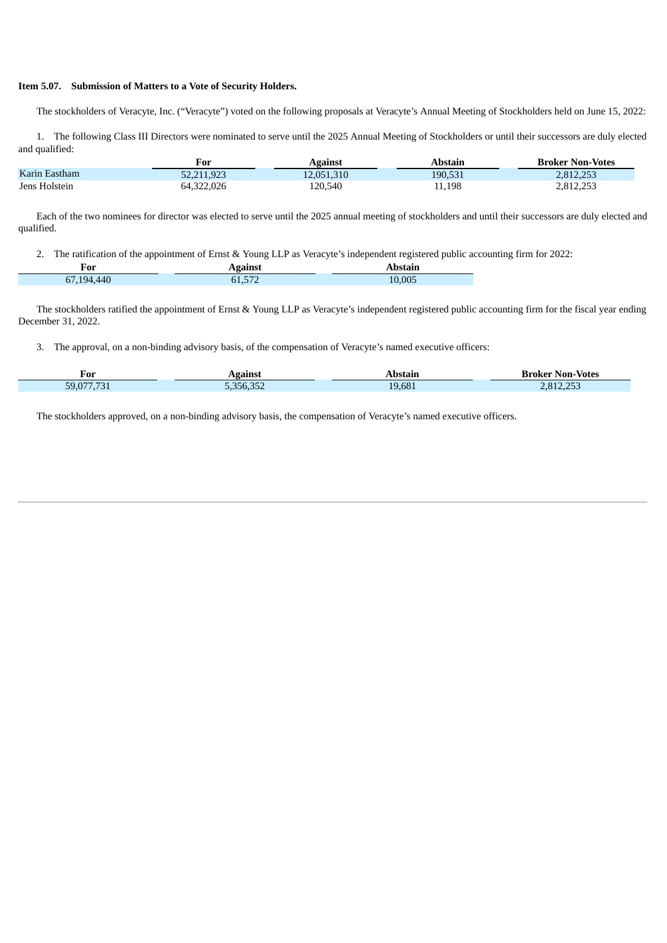#### **Item 5.07. Submission of Matters to a Vote of Security Holders.**

The stockholders of Veracyte, Inc. ("Veracyte") voted on the following proposals at Veracyte's Annual Meeting of Stockholders held on June 15, 2022:

1. The following Class III Directors were nominated to serve until the 2025 Annual Meeting of Stockholders or until their successors are duly elected and qualified:

|               | For        | Against    | Abstain | <b>Broker Non-Votes</b> |
|---------------|------------|------------|---------|-------------------------|
| Karin Eastham | 52.211.923 | 12,051,310 | 190,531 | 2.812.253               |
| Jens Holstein | 64,322,026 | 120.540    | 11,198  | 2,812,253               |

Each of the two nominees for director was elected to serve until the 2025 annual meeting of stockholders and until their successors are duly elected and qualified.

2. The ratification of the appointment of Ernst & Young LLP as Veracyte's independent registered public accounting firm for 2022:

| For | . |                             |  |
|-----|---|-----------------------------|--|
|     |   | $\sim$ $\sim$ $\sim$<br>:00 |  |

The stockholders ratified the appointment of Ernst & Young LLP as Veracyte's independent registered public accounting firm for the fiscal year ending December 31, 2022.

3. The approval, on a non-binding advisory basis, of the compensation of Veracyte's named executive officers:

| For           | gainst               |                  | <b>Votes</b><br>Non-<br><b>UMALIAN</b><br>NNIK. |
|---------------|----------------------|------------------|-------------------------------------------------|
| - --<br>59.07 | 0.050000<br>$\cdots$ | 19.681<br>$\sim$ | $\sim$ $\sim$ $\sim$ $\sim$<br>2.812            |

The stockholders approved, on a non-binding advisory basis, the compensation of Veracyte's named executive officers.